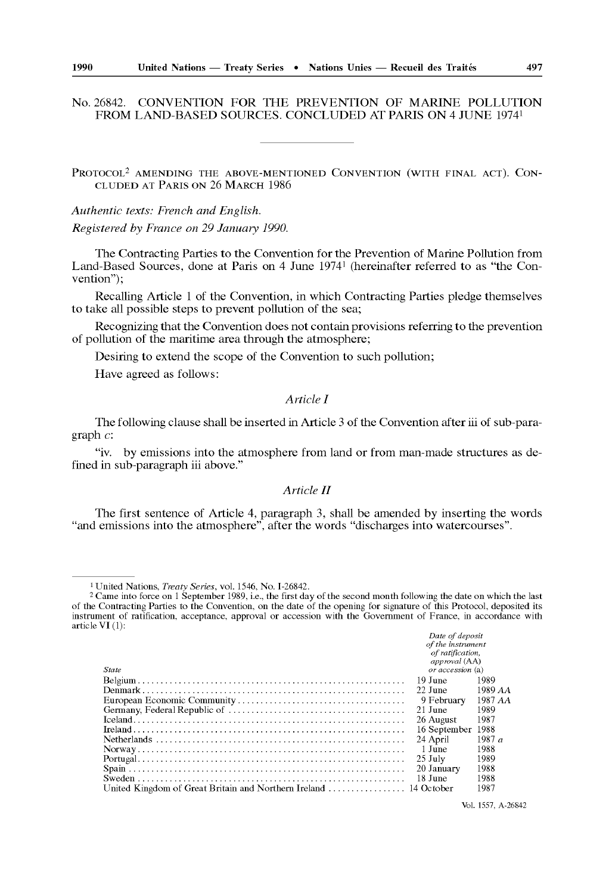# No. 26842. CONVENTION FOR THE PREVENTION OF MARINE POLLUTION FROM LAND-BASED SOURCES. CONCLUDED AT PARIS ON 4 JUNE 19741

PROTOCOL2 AMENDING THE ABOVE-MENTIONED CONVENTION (WITH FINAL ACT). CON CLUDED AT PARIS ON 26 MARCH 1986

*Authentic texts: French and English. Registered by France on 29 January 1990.*

The Contracting Parties to the Convention for the Prevention of Marine Pollution from Land-Based Sources, done at Paris on 4 June 19741 (hereinafter referred to as "the Con vention");

Recalling Article 1 of the Convention, in which Contracting Parties pledge themselves to take all possible steps to prevent pollution of the sea;

Recognizing that the Convention does not contain provisions referring to the prevention of pollution of the maritime area through the atmosphere;

Desiring to extend the scope of the Convention to such pollution;

Have agreed as follows:

## *Article I*

The following clause shall be inserted in Article 3 of the Convention after iii of sub-para graph *c:*

"iv. by emissions into the atmosphere from land or from man-made structures as de fined in sub-paragraph iii above."

### *Article II*

The first sentence of Article 4, paragraph 3, shall be amended by inserting the words "and emissions into the atmosphere", after the words "discharges into watercourses".

<sup>2</sup> Came into force on 1 September 1989, i.e., the first day of the second month following the date on which the last of the Contracting Parties to the Convention, on the date of the opening for signature of this Protocol, deposited its<br>instrument of ratification, acceptance, approval or accession with the Government of France, in accorda article VI (1):

|       | Date of deposit                   |          |
|-------|-----------------------------------|----------|
|       | of the instrument                 |          |
|       | of ratification.<br>approval (AA) |          |
| State | or accession (a)                  |          |
|       | - 19 June                         | 1989     |
|       |                                   |          |
|       | 22 June                           | 1989 AA  |
|       | 9 February                        | 1987 AA  |
|       | 21 June                           | 1989     |
|       | 26 August                         | 1987     |
|       | 16 September 1988                 |          |
|       | 24 April                          | 1987 $a$ |
|       | 1 June                            | 1988     |
|       | $25$ July                         | 1989     |
|       | 20 January                        | 1988     |
|       | -18 June                          | 1988     |
|       |                                   | 1987     |

<sup>1</sup> United Nations, *Treaty Series,* vol. 1546, No. 1-26842.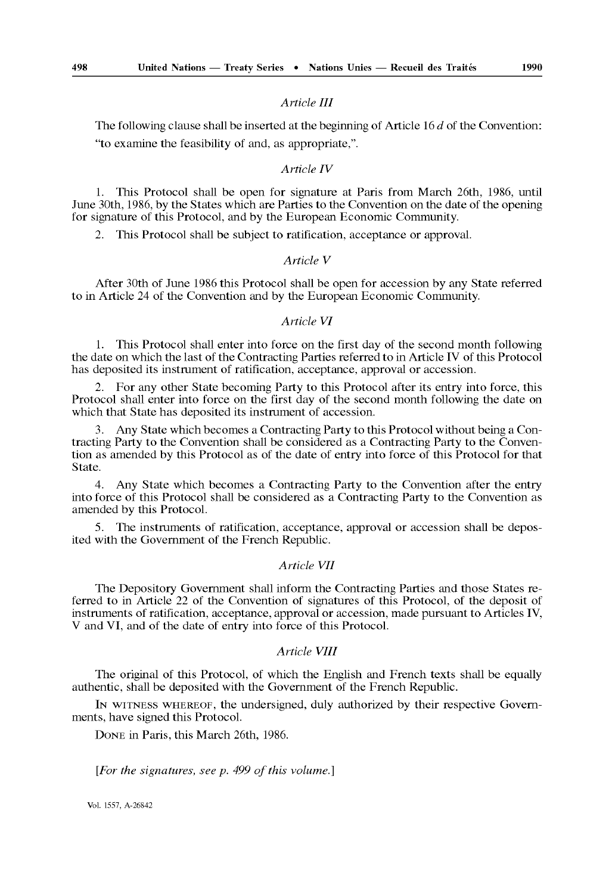# *Article III*

The following clause shall be inserted at the beginning of Article 16 *d* of the Convention: "to examine the feasibility of and, as appropriate,".

## *Article IV*

1. This Protocol shall be open for signature at Paris from March 26th, 1986, until June 30th, 1986, by the States which are Parties to the Convention on the date of the opening for signature of this Protocol, and by the European Economic Community.

2. This Protocol shall be subject to ratification, acceptance or approval.

#### *Article V*

After 30th of June 1986 this Protocol shall be open for accession by any State referred to in Article 24 of the Convention and by the European Economic Community.

# *Article VI*

1. This Protocol shall enter into force on the first day of the second month following the date on which the last of the Contracting Parties referred to in Article IV of this Protocol has deposited its instrument of ratification, acceptance, approval or accession.

2. For any other State becoming Party to this Protocol after its entry into force, this Protocol shall enter into force on the first day of the second month following the date on which that State has deposited its instrument of accession.

3. Any State which becomes a Contracting Party to this Protocol without being a Con tracting Party to the Convention shall be considered as a Contracting Party to the Conven tion as amended by this Protocol as of the date of entry into force of this Protocol for that State.

4. Any State which becomes a Contracting Party to the Convention after the entry into force of this Protocol shall be considered as a Contracting Party to the Convention as amended by this Protocol.

5. The instruments of ratification, acceptance, approval or accession shall be depos ited with the Government of the French Republic.

### *Article VII*

The Depository Government shall inform the Contracting Parties and those States re ferred to in Article 22 of the Convention of signatures of this Protocol, of the deposit of instruments of ratification, acceptance, approval or accession, made pursuant to Articles IV, V and VI, and of the date of entry into force of this Protocol.

## *Article VIII*

The original of this Protocol, of which the English and French texts shall be equally authentic, shall be deposited with the Government of the French Republic.

IN WITNESS WHEREOF, the undersigned, duly authorized by their respective Govern ments, have signed this Protocol.

DONE in Paris, this March 26th, 1986.

*[For the signatures, see p. 499 of this volume.]*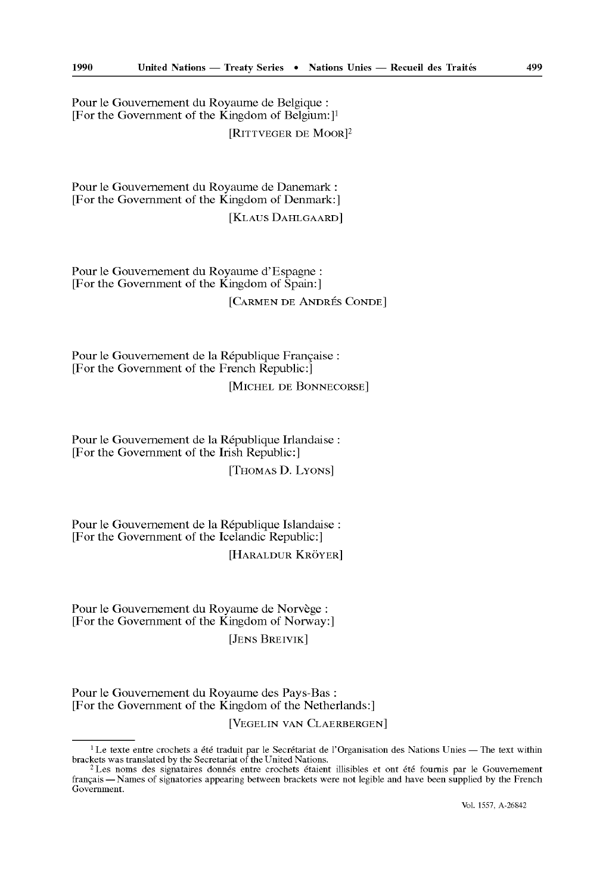Pour le Gouvernement du Royaume de Belgique : [For the Government of the Kingdom of Belgium:]<sup>1</sup> [RlTTVEGER DE MOOR]2

Pour le Gouvernement du Royaume de Danemark : [For thé Government of the Kingdom of Denmark:]

[KLAUS DAHLGAARD]

Pour le Gouvernement du Royaume d'Espagne : [For thé Government of the Kingdom of Spain:] [CARMEN DE ANDRÉS CONDE]

Pour le Gouvernement de la République Française : [For thé Government of the French Republic:] [MICHEL DE BONNECORSE]

Pour le Gouvernement de la République Irlandaise : [For thé Government of the Irish Republic:] [THOMAS D. LYONS]

Pour le Gouvernement de la République Islandaise : [For thé Government of the Icelandic Republic:] [HARALDUR KRÔYER]

Pour le Gouvernement du Royaume de Norvège : [For thé Government of the Kingdom of Norway:] [JENS BREIVIK]

Pour le Gouvernement du Royaume des Pays-Bas : [For thé Government of the Kingdom of the Netherlands:]

[VEGELIN VAN CLAERBERGEN]

<sup>&</sup>lt;sup>1</sup> Le texte entre crochets a été traduit par le Secrétariat de l'Organisation des Nations Unies — The text within brackets was translated by the Secretariat of the United Nations.

<sup>2</sup> Les noms des signataires donnés entre crochets étaient illisibles et ont été fournis par le Gouvernement français — Names of signatories appearing between brackets were not legible and have been supplied by the French Government.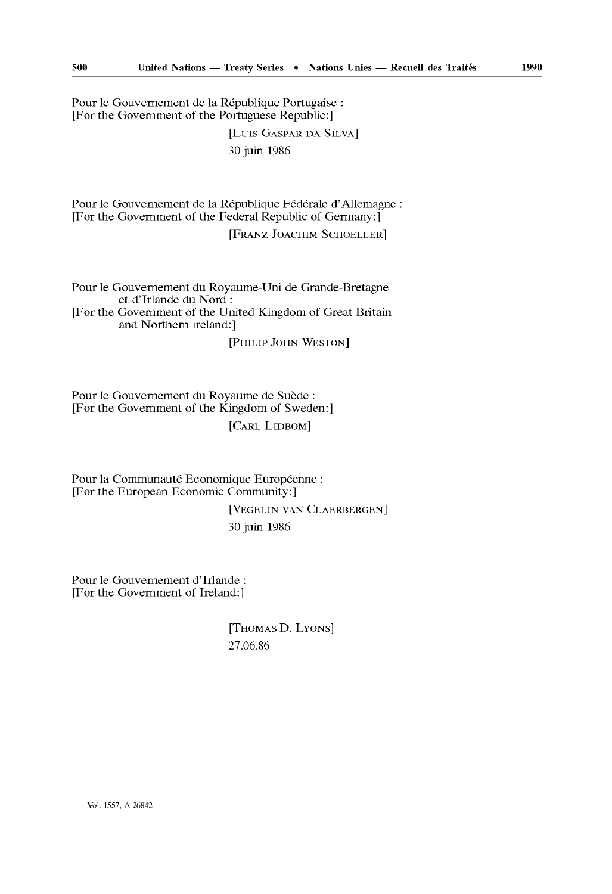Pour le Gouvernement de la République Portugaise : [For thé Government of the Portuguese Republic:]

> [Luis CASPAR DA SILVA] 30 juin 1986

Pour le Gouvernement de la République Fédérale d'Allemagne : [For thé Government of the Federal Republic of Germany:]

[FRANZ JOACHIM SCHOELLER]

Pour le Gouvernement du Royaume-Uni de Grande-Bretagne et d'Irlande du Nord : [For thé Government of the United Kingdom of Great Britain and Northern ireland:1

[PHILIP JOHN WESTON]

Pour le Gouvernement du Royaume de Suède : [For thé Government of the Kingdom of Sweden:] [CARL LIDBOM]

Pour la Communauté Economique Européenne : [For the European Economic Community:]

> [VEGELIN VAN CLAERBERGEN] 30 juin 1986

Pour le Gouvernement d'Irlande : [For the Government of Ireland:]

> [THOMAS D. LYONS] 27.06.86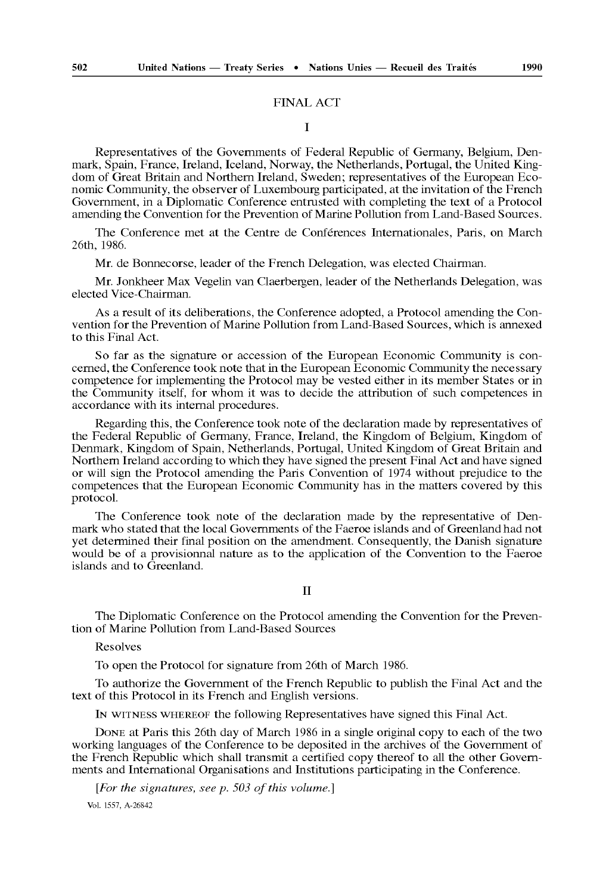#### FINAL ACT

#### I

Representatives of the Governments of Federal Republic of Germany, Belgium, Den mark, Spain, France, Ireland, Iceland, Norway, the Netherlands, Portugal, the United King dom of Great Britain and Northern Ireland, Sweden; representatives of the European Eco nomic Community, the observer of Luxembourg participated, at the invitation of the French Government, in a Diplomatic Conference entrusted with completing the text of a Protocol amending the Convention for the Prevention of Marine Pollution from Land-Based Sources.

The Conference met at the Centre de Conférences Internationales, Paris, on March 26th, 1986.

Mr. de Bonnecorse, leader of the French Delegation, was elected Chairman.

Mr. Jonkheer Max Vegelin van Claerbergen, leader of the Netherlands Delegation, was elected Vice-Chairman.

As a result of its deliberations, the Conference adopted, a Protocol amending the Con vention for the Prevention of Marine Pollution from Land-Based Sources, which is annexed to this Final Act.

So far as the signature or accession of the European Economic Community is con cerned, the Conference took note that in the European Economic Community the necessary competence for implementing the Protocol may be vested either in its member States or in the Community itself, for whom it was to decide the attribution of such competences in accordance with its internal procedures.

Regarding this, the Conference took note of the declaration made by representatives of the Federal Republic of Germany, France, Ireland, the Kingdom of Belgium, Kingdom of Denmark, Kingdom of Spain, Netherlands, Portugal, United Kingdom of Great Britain and Northern Ireland according to which they have signed the present Final Act and have signed or will sign the Protocol amending the Paris Convention of 1974 without prejudice to the competences that the European Economic Community has in the matters covered by this protocol.

The Conference took note of the declaration made by the representative of Den mark who stated that the local Governments of the Faeroe islands and of Greenland had not yet determined their final position on the amendment. Consequently, the Danish signature would be of a provisionnai nature as to the application of the Convention to the Faeroe islands and to Greenland.

### **II**

The Diplomatic Conference on the Protocol amending the Convention for the Preven tion of Marine Pollution from Land-Based Sources

Resolves

To open the Protocol for signature from 26th of March 1986.

To authorize the Government of the French Republic to publish the Final Act and the text of this Protocol in its French and English versions.

IN WITNESS WHEREOF the following Representatives have signed this Final Act.

DONE at Paris this 26th day of March 1986 in a single original copy to each of the two working languages of the Conference to be deposited in the archives of the Government of the French Republic which shall transmit a certified copy thereof to all the other Govern ments and International Organisations and Institutions participating in the Conference.

*[For the signatures, see p. 503 of this volume.]*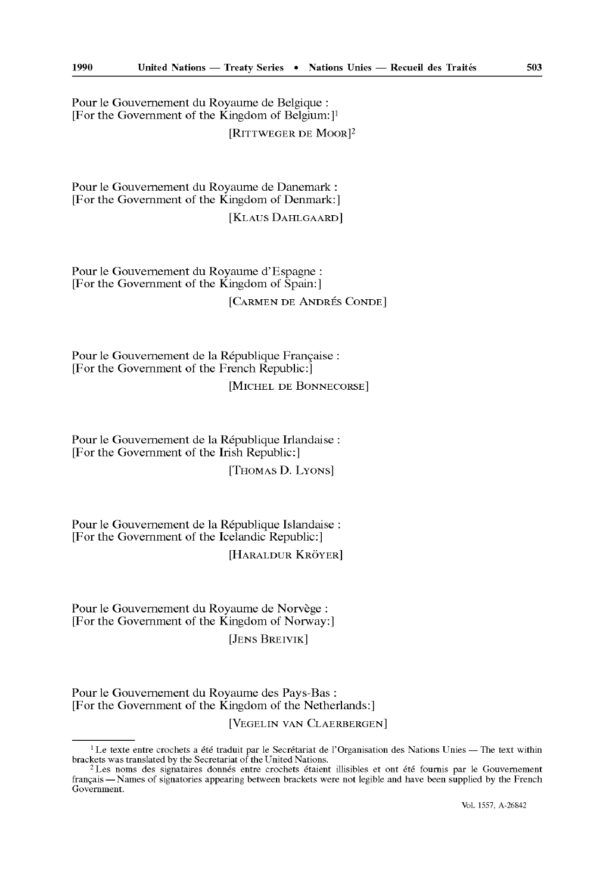Pour le Gouvernement du Royaume de Belgique : [For the Government of the Kingdom of Belgium:]<sup>1</sup> [RITTWEGER DE MOOR]<sup>2</sup>

Pour le Gouvernement du Royaume de Danemark : [For thé Government of the Kingdom of Denmark:]

[KLAUS DAHLGAARD]

Pour le Gouvernement du Royaume d'Espagne : [For thé Government of the Kingdom of Spain:] [CARMEN DE ANDRÉS CONDE]

Pour le Gouvernement de la République Française : [For thé Government of the French Republic:] [MICHEL DE BONNECORSE]

Pour le Gouvernement de la République Irlandaise : [For thé Government of the Irish Republic:] [THOMAS D. LYONS]

Pour le Gouvernement de la République Islandaise : [For thé Government of the Icelandic Republic:] [HARALDUR KRÔYER]

Pour le Gouvernement du Royaume de Norvège : [For thé Government of the Kingdom of Norway:] [JENS BREIVIK]

Pour le Gouvernement du Royaume des Pays-Bas : [For thé Government of the Kingdom of the Netherlands:]

[VEGELIN VAN CLAERBERGEN]

<sup>&</sup>lt;sup>1</sup> Le texte entre crochets a été traduit par le Secrétariat de l'Organisation des Nations Unies — The text within brackets was translated by the Secretariat of the United Nations.

<sup>2</sup> Les noms des signataires donnés entre crochets étaient illisibles et ont été fournis par le Gouvernement français — Names of signatories appearing between brackets were not legible and have been supplied by the French Government.